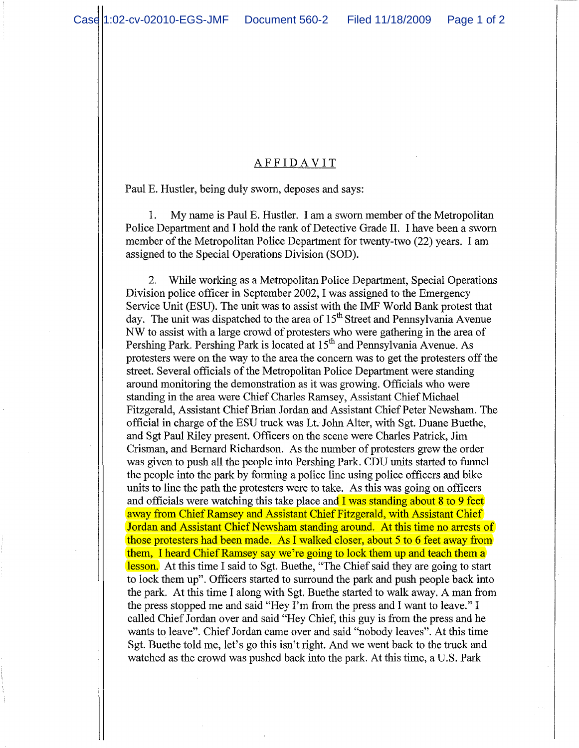## AFFIDA VIT

Paul E. Hustler, being duly sworn, deposes and says:

1. My name is Paul E. Hustler. I am a sworn member of the Metropolitan Police Department and I hold the rank of Detective Grade **II. I** have been a sworn member of the Metropolitan Police Department for twenty-two (22) years. I am assigned to the Special Operations Division (SOD).

2. While working as a Metropolitan Police Department, Special Operations Division police officer in September 2002, I was assigned to the Emergency Service Unit (ESU). The unit was to assist with the IMF World Bank protest that day. The unit was dispatched to the area of  $15<sup>th</sup>$  Street and Pennsylvania Avenue NW to assist with a large crowd of protesters who were gathering in the area of Pershing Park. Pershing Park is located at 15<sup>th</sup> and Pennsylvania Avenue. As protesters were on the way to the area the concern was to get the protesters off the street. Several officials of the Metropolitan Police Department were standing around monitoring the demonstration as it was growing. Officials who were standing in the area were Chief Charles Ramsey, Assistant Chief Michael Fitzgerald, Assistant Chief Brian Jordan and Assistant Chief Peter Newsham. The official in charge of the ESU truck was Lt. John Alter, with Sgt. Duane Buethe, and Sgt Paul Riley present. Officers on the scene were Charles Patrick, Jim Crisman, and Bernard Richardson. As the number of protesters grew the order was given to push all the people into Pershing Park. CDU units started to funnel the people into the park by forming a police line using police officers and bike units to line the path the protesters were to take. As this was going on officers and officials were watching this take place and  $\overline{I}$  was standing about 8 to 9 feet away from Chief Ramsey and Assistant Chief Fitzgerald, with Assistant Chief Jordan and Assistant Chief Newsham standing around. At this time no arrests of those protesters had been made. As I walked closer, about 5 to 6 feet away from them, I heard Chief Ramsey say we're going to lock them up and teach them a lesson. At this time I said to Sgt. Buethe, "The Chief said they are going to start to lock them up". Officers started to surround the park and push people back into the park. At this time I along with Sgt. Buethe started to walk away. A man from the press stopped me and said "Hey I'm from the press and I want to leave." I called Chief Jordan over and said "Hey Chief, this guy is from the press and he wants to leave". Chief Jordan came over and said "nobody leaves". At this time Sgt. Buethe told me, let's go this isn't right. And we went back to the truck and watched as the crowd was pushed back into the park. At this time, a U.S. Park